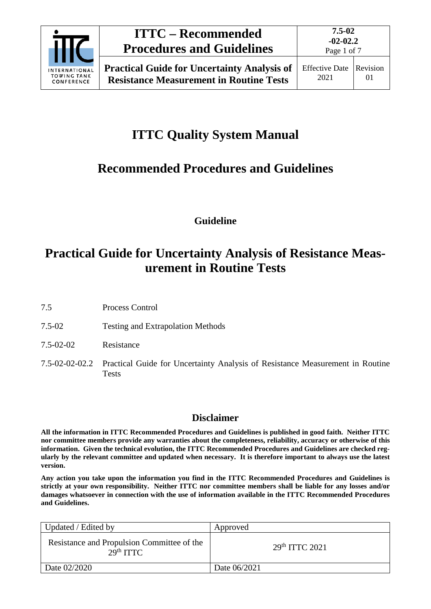

## **ITTC – Recommended Procedures and Guidelines**

Page 1 of 7

# **ITTC Quality System Manual**

# **Recommended Procedures and Guidelines**

**Guideline**

## **Practical Guide for Uncertainty Analysis of Resistance Measurement in Routine Tests**

- 7.5 Process Control
- 7.5-02 Testing and Extrapolation Methods
- 7.5-02-02 Resistance
- 7.5-02-02-02.2 Practical Guide for Uncertainty Analysis of Resistance Measurement in Routine Tests

### **Disclaimer**

**All the information in ITTC Recommended Procedures and Guidelines is published in good faith. Neither ITTC nor committee members provide any warranties about the completeness, reliability, accuracy or otherwise of this information. Given the technical evolution, the ITTC Recommended Procedures and Guidelines are checked regularly by the relevant committee and updated when necessary. It is therefore important to always use the latest version.**

**Any action you take upon the information you find in the ITTC Recommended Procedures and Guidelines is strictly at your own responsibility. Neither ITTC nor committee members shall be liable for any losses and/or damages whatsoever in connection with the use of information available in the ITTC Recommended Procedures and Guidelines.**

| Updated / Edited by                                                 | Approved         |
|---------------------------------------------------------------------|------------------|
| Resistance and Propulsion Committee of the<br>29 <sup>th</sup> TTTC | $29th$ ITTC 2021 |
| Date 02/2020                                                        | Date 06/2021     |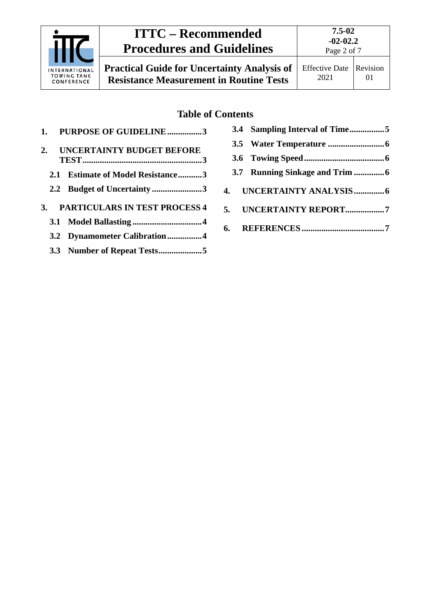| <b>ITTC – Recommended</b>                                |                                                                                                      | $7.5 - 02$<br>$-02-02.2$      |                |
|----------------------------------------------------------|------------------------------------------------------------------------------------------------------|-------------------------------|----------------|
|                                                          | <b>Procedures and Guidelines</b>                                                                     | Page 2 of 7                   |                |
| <b>INTERNATIONAL</b><br><b>TOWING TANK</b><br>CONFERENCE | <b>Practical Guide for Uncertainty Analysis of</b><br><b>Resistance Measurement in Routine Tests</b> | <b>Effective Date</b><br>2021 | Revision<br>01 |
|                                                          |                                                                                                      |                               |                |

### **Table of Contents**

|    | 1. PURPOSE OF GUIDELINE3          |
|----|-----------------------------------|
| 2. | <b>UNCERTAINTY BUDGET BEFORE</b>  |
|    | 2.1 Estimate of Model Resistance3 |
|    | 2.2 Budget of Uncertainty 3       |
|    | 3. PARTICULARS IN TEST PROCESS 4  |
|    |                                   |
|    | 3.2 Dynamometer Calibration4      |
|    |                                   |

| 5. UNCERTAINTY REPORT7 |
|------------------------|
|                        |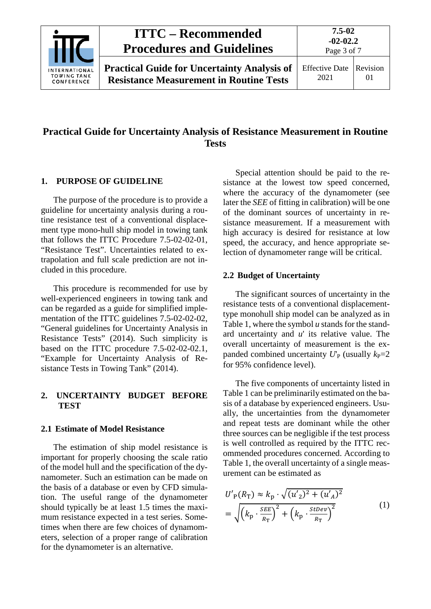

### **Practical Guide for Uncertainty Analysis of Resistance Measurement in Routine Tests**

#### <span id="page-2-0"></span>**1. PURPOSE OF GUIDELINE**

The purpose of the procedure is to provide a guideline for uncertainty analysis during a routine resistance test of a conventional displacement type mono-hull ship model in towing tank that follows the ITTC Procedure 7.5-02-02-01, "Resistance Test". Uncertainties related to extrapolation and full scale prediction are not included in this procedure.

This procedure is recommended for use by well-experienced engineers in towing tank and can be regarded as a guide for simplified implementation of the ITTC guidelines 7.5-02-02-02, "General guidelines for Uncertainty Analysis in Resistance Tests" (2014). Such simplicity is based on the ITTC procedure 7.5-02-02-02.1, "Example for Uncertainty Analysis of Resistance Tests in Towing Tank" (2014).

#### <span id="page-2-1"></span>**2. UNCERTAINTY BUDGET BEFORE TEST**

#### <span id="page-2-2"></span>**2.1 Estimate of Model Resistance**

The estimation of ship model resistance is important for properly choosing the scale ratio of the model hull and the specification of the dynamometer. Such an estimation can be made on the basis of a database or even by CFD simulation. The useful range of the dynamometer should typically be at least 1.5 times the maximum resistance expected in a test series. Sometimes when there are few choices of dynamometers, selection of a proper range of calibration for the dynamometer is an alternative.

Special attention should be paid to the resistance at the lowest tow speed concerned, where the accuracy of the dynamometer (see later the *SEE* of fitting in calibration) will be one of the dominant sources of uncertainty in resistance measurement. If a measurement with high accuracy is desired for resistance at low speed, the accuracy, and hence appropriate selection of dynamometer range will be critical.

#### <span id="page-2-3"></span>**2.2 Budget of Uncertainty**

The significant sources of uncertainty in the resistance tests of a conventional displacementtype monohull ship model can be analyzed as in Table 1, where the symbol *u* stands for the standard uncertainty and *u*' its relative value. The overall uncertainty of measurement is the expanded combined uncertainty  $U_P$  (usually  $k_P=2$ ) for 95% confidence level).

The five components of uncertainty listed in Table 1 can be preliminarily estimated on the basis of a database by experienced engineers. Usually, the uncertainties from the dynamometer and repeat tests are dominant while the other three sources can be negligible if the test process is well controlled as required by the ITTC recommended procedures concerned. According to Table 1, the overall uncertainty of a single measurement can be estimated as

$$
U'_{P}(R_{T}) \approx k_{p} \cdot \sqrt{(u'_{2})^{2} + (u'_{A})^{2}}
$$
  
=  $\sqrt{\left(k_{p} \cdot \frac{SEE}{R_{T}}\right)^{2} + \left(k_{p} \cdot \frac{StDev}{R_{T}}\right)^{2}}$  (1)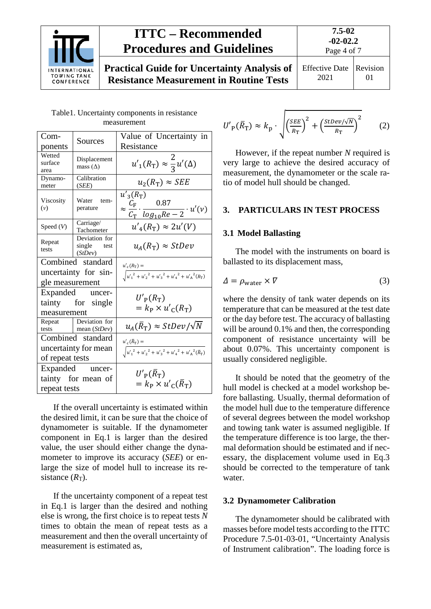

## **ITTC – Recommended Procedures and Guidelines**

**7.5-02 -02-02.2**

**Practical Guide for Uncertainty Analysis of Resistance Measurement in Routine Tests**

Effective Date 2021 Revision 01

Page 4 of 7

| Com-                                                         | Sources                                    | Value of Uncertainty in                                                                                                             |  |
|--------------------------------------------------------------|--------------------------------------------|-------------------------------------------------------------------------------------------------------------------------------------|--|
| ponents                                                      |                                            | Resistance                                                                                                                          |  |
| Wetted<br>Displacement<br>surface<br>mass $(\Delta)$<br>area |                                            | $u'_{1}(R_{\text{T}}) \approx \frac{2}{3}u'(\Delta)$                                                                                |  |
| Dynamo-<br>meter                                             | Calibration<br>(SEE)                       | $u_2(R_T) \approx SEE$                                                                                                              |  |
| Viscosity<br>(v)                                             | Water tem-<br>perature                     | $u'_{3}(R_{\rm T})$<br>$\approx \frac{\overline{C}_{\rm F}}{\overline{C}_{\rm T}} \cdot \frac{0.87}{\log_{10}Re - 2} \cdot u'(\nu)$ |  |
| Speed $(V)$                                                  | Carriage/<br>Tachometer                    | $u'_{4}(R_{\rm T}) \approx 2u'(V)$                                                                                                  |  |
| Repeat<br>tests                                              | Deviation for<br>single test<br>(StDev)    | $u_A(R_T) \approx StDev$                                                                                                            |  |
| Combined standard                                            |                                            | $u'_{c}(R_{\rm T}) =$                                                                                                               |  |
| uncertainty for sin-<br>gle measurement                      |                                            | $\sqrt{u'_1{}^2+{u'_2}^2+{u'_3}^2+{u'_4}^2+{u'_A}^2(R_{\text{T}})}$                                                                 |  |
| measurement                                                  | Expanded uncer-<br>tainty for single       | $U'_{\rm p}(R_{\rm T})$<br>$= k_{\rm P} \times u'_{\rm C}(R_{\rm T})$                                                               |  |
|                                                              | Repeat Deviation for<br>tests mean (StDev) | $u_A(\bar{R}_{\rm T}) \approx StDev / \sqrt{N}$                                                                                     |  |
|                                                              | Combined standard                          | $u'_{c}(\bar{R}_{\rm T}) =$                                                                                                         |  |
| uncertainty for mean<br>of repeat tests                      |                                            | $\sqrt{{u'_{1}}^{2}+{u'_{2}}^{2}+{u'_{3}}^{2}+{u'_{4}}^{2}+{u'_{A}}^{2}(\overline{R_{T}})}$                                         |  |
| Expanded uncer-                                              |                                            |                                                                                                                                     |  |
| tainty for mean of<br>repeat tests                           |                                            | $U'_{\rm P}(R_{\rm T})$<br>$= k_{\rm P} \times u'_{\rm C}(\bar{R}_{\rm T})$                                                         |  |

Table1. Uncertainty components in resistance measurement

If the overall uncertainty is estimated within the desired limit, it can be sure that the choice of dynamometer is suitable. If the dynamometer component in Eq.1 is larger than the desired value, the user should either change the dynamometer to improve its accuracy (*SEE*) or enlarge the size of model hull to increase its resistance  $(R<sub>T</sub>)$ .

If the uncertainty component of a repeat test in Eq.1 is larger than the desired and nothing else is wrong, the first choice is to repeat tests *N* times to obtain the mean of repeat tests as a measurement and then the overall uncertainty of measurement is estimated as,

$$
U'_{\rm P}(\bar{R}_{\rm T}) \approx k_{\rm p} \cdot \sqrt{\left(\frac{SEE}{R_{\rm T}}\right)^2 + \left(\frac{StDev/\sqrt{N}}{R_{\rm T}}\right)^2} \tag{2}
$$

However, if the repeat number *N* required is very large to achieve the desired accuracy of measurement, the dynamometer or the scale ratio of model hull should be changed.

#### <span id="page-3-1"></span><span id="page-3-0"></span>**3. PARTICULARS IN TEST PROCESS**

#### **3.1 Model Ballasting**

The model with the instruments on board is ballasted to its displacement mass,

$$
\Delta = \rho_{\text{water}} \times \nabla \tag{3}
$$

where the density of tank water depends on its temperature that can be measured at the test date or the day before test. The accuracy of ballasting will be around 0.1% and then, the corresponding component of resistance uncertainty will be about 0.07%. This uncertainty component is usually considered negligible.

It should be noted that the geometry of the hull model is checked at a model workshop before ballasting. Usually, thermal deformation of the model hull due to the temperature difference of several degrees between the model workshop and towing tank water is assumed negligible. If the temperature difference is too large, the thermal deformation should be estimated and if necessary, the displacement volume used in Eq.3 should be corrected to the temperature of tank water.

#### <span id="page-3-2"></span>**3.2 Dynamometer Calibration**

The dynamometer should be calibrated with masses before model tests according to the ITTC Procedure 7.5-01-03-01, "Uncertainty Analysis of Instrument calibration". The loading force is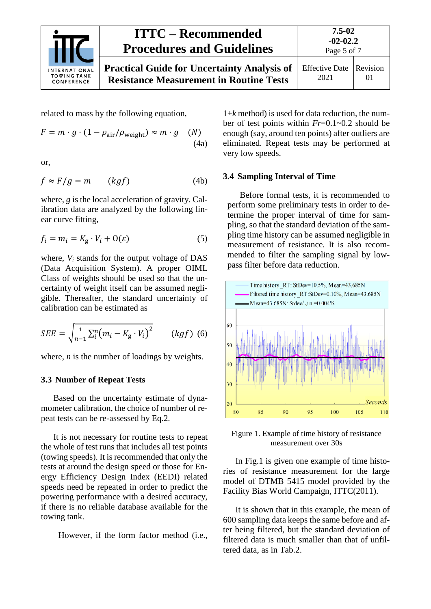

**7.5-02**

Effective Date 2021 Revision 01

related to mass by the following equation,

$$
F = m \cdot g \cdot (1 - \rho_{\text{air}}/\rho_{\text{weight}}) \approx m \cdot g \quad (N)
$$
\n(4a)

or,

$$
f \approx F/g = m \qquad (kgf) \tag{4b}
$$

where, *g* is the local acceleration of gravity. Calibration data are analyzed by the following linear curve fitting,

$$
f_i = m_i = K_g \cdot V_i + O(\varepsilon) \tag{5}
$$

where, *Vi* stands for the output voltage of DAS (Data Acquisition System). A proper OIML Class of weights should be used so that the uncertainty of weight itself can be assumed negligible. Thereafter, the standard uncertainty of calibration can be estimated as

$$
SEE = \sqrt{\frac{1}{n-1} \sum_{i}^{n} (m_i - K_g \cdot V_i)^2}
$$
 (kgf) (6)

<span id="page-4-0"></span>where, *n* is the number of loadings by weights.

#### **3.3 Number of Repeat Tests**

Based on the uncertainty estimate of dynamometer calibration, the choice of number of repeat tests can be re-assessed by Eq.2.

It is not necessary for routine tests to repeat the whole of test runs that includes all test points (towing speeds). It is recommended that only the tests at around the design speed or those for Energy Efficiency Design Index (EEDI) related speeds need be repeated in order to predict the powering performance with a desired accuracy, if there is no reliable database available for the towing tank.

However, if the form factor method (i.e.,

1+*k* method) is used for data reduction, the number of test points within *Fr*=0.1~0.2 should be enough (say, around ten points) after outliers are eliminated. Repeat tests may be performed at very low speeds.

#### <span id="page-4-1"></span>**3.4 Sampling Interval of Time**

Before formal tests, it is recommended to perform some preliminary tests in order to determine the proper interval of time for sampling, so that the standard deviation of the sampling time history can be assumed negligible in measurement of resistance. It is also recommended to filter the sampling signal by lowpass filter before data reduction.



Figure 1. Example of time history of resistance measurement over 30s

In Fig.1 is given one example of time histories of resistance measurement for the large model of DTMB 5415 model provided by the Facility Bias World Campaign, ITTC(2011).

It is shown that in this example, the mean of 600 sampling data keeps the same before and after being filtered, but the standard deviation of filtered data is much smaller than that of unfiltered data, as in Tab.2.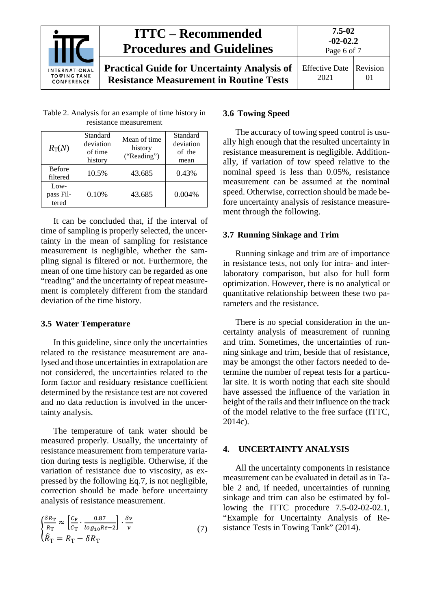

**7.5-02 -02-02.2**

| Table 2. Analysis for an example of time history in |  |
|-----------------------------------------------------|--|
| resistance measurement                              |  |

| $R_{\rm T}(N)$             | Standard<br>deviation<br>of time<br>history | Mean of time<br>history<br>("Reading") | Standard<br>deviation<br>of the<br>mean |
|----------------------------|---------------------------------------------|----------------------------------------|-----------------------------------------|
| <b>Before</b><br>filtered  | 10.5%                                       | 43.685                                 | 0.43%                                   |
| Low-<br>pass Fil-<br>tered | 0.10%                                       | 43.685                                 | $0.004\%$                               |

It can be concluded that, if the interval of time of sampling is properly selected, the uncertainty in the mean of sampling for resistance measurement is negligible, whether the sampling signal is filtered or not. Furthermore, the mean of one time history can be regarded as one "reading" and the uncertainty of repeat measurement is completely different from the standard deviation of the time history.

#### <span id="page-5-0"></span>**3.5 Water Temperature**

In this guideline, since only the uncertainties related to the resistance measurement are analysed and those uncertainties in extrapolation are not considered, the uncertainties related to the form factor and residuary resistance coefficient determined by the resistance test are not covered and no data reduction is involved in the uncertainty analysis.

The temperature of tank water should be measured properly. Usually, the uncertainty of resistance measurement from temperature variation during tests is negligible. Otherwise, if the variation of resistance due to viscosity, as expressed by the following Eq.7, is not negligible, correction should be made before uncertainty analysis of resistance measurement.

$$
\begin{cases}\n\frac{\delta R_{\rm T}}{R_{\rm T}} \approx \left[ \frac{C_{\rm F}}{C_{\rm T}} \cdot \frac{0.87}{\log_{10} Re - 2} \right] \cdot \frac{\delta \nu}{\nu} \\
\hat{R}_{\rm T} = R_{\rm T} - \delta R_{\rm T}\n\end{cases} \tag{7}
$$

#### <span id="page-5-1"></span>**3.6 Towing Speed**

The accuracy of towing speed control is usually high enough that the resulted uncertainty in resistance measurement is negligible. Additionally, if variation of tow speed relative to the nominal speed is less than 0.05%, resistance measurement can be assumed at the nominal speed. Otherwise, correction should be made before uncertainty analysis of resistance measurement through the following.

#### <span id="page-5-2"></span>**3.7 Running Sinkage and Trim**

Running sinkage and trim are of importance in resistance tests, not only for intra- and interlaboratory comparison, but also for hull form optimization. However, there is no analytical or quantitative relationship between these two parameters and the resistance.

There is no special consideration in the uncertainty analysis of measurement of running and trim. Sometimes, the uncertainties of running sinkage and trim, beside that of resistance, may be amongst the other factors needed to determine the number of repeat tests for a particular site. It is worth noting that each site should have assessed the influence of the variation in height of the rails and their influence on the track of the model relative to the free surface (ITTC, 2014c).

#### <span id="page-5-3"></span>**4. UNCERTAINTY ANALYSIS**

All the uncertainty components in resistance measurement can be evaluated in detail as in Table 2 and, if needed, uncertainties of running sinkage and trim can also be estimated by following the ITTC procedure 7.5-02-02-02.1, "Example for Uncertainty Analysis of Resistance Tests in Towing Tank" (2014).